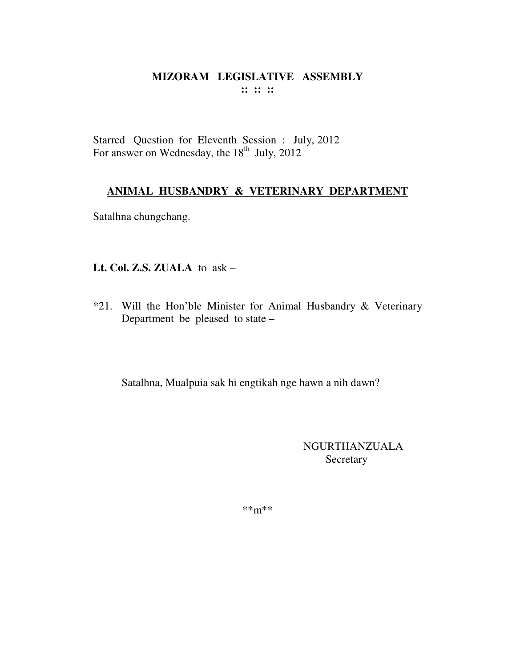#### MIZORAM LEGISLATIVE ASSEMBLY  $\cdots$   $\cdots$   $\cdots$

Starred Question for Eleventh Session : July, 2012 For answer on Wednesday, the 18<sup>th</sup> July, 2012

#### ANIMAL HUSBANDRY & VETERINARY DEPARTMENT

Satalhna chungchang.

#### Lt. Col. Z.S. ZUALA to  $ask -$

\*21. Will the Hon'ble Minister for Animal Husbandry & Veterinary Department be pleased to state -

Satalhna, Mualpuia sak hi engtikah nge hawn a nih dawn?

**NGURTHANZUALA** Secretary

 $***m***$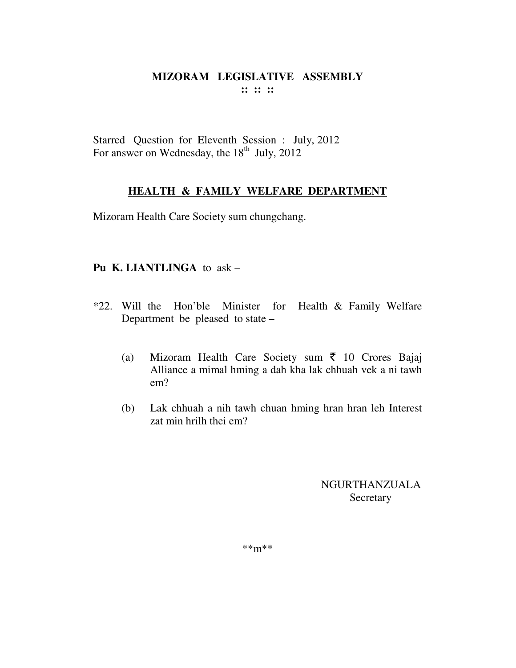Starred Question for Eleventh Session : July, 2012 For answer on Wednesday, the  $18<sup>th</sup>$  July, 2012

## **HEALTH & FAMILY WELFARE DEPARTMENT**

Mizoram Health Care Society sum chungchang.

#### **Pu K. LIANTLINGA** to ask –

- \*22. Will the Hon'ble Minister for Health & Family Welfare Department be pleased to state –
	- (a) Mizoram Health Care Society sum  $\bar{z}$  10 Crores Bajaj Alliance a mimal hming a dah kha lak chhuah vek a ni tawh em?
	- (b) Lak chhuah a nih tawh chuan hming hran hran leh Interest zat min hrilh thei em?

## NGURTHANZUALA **Secretary**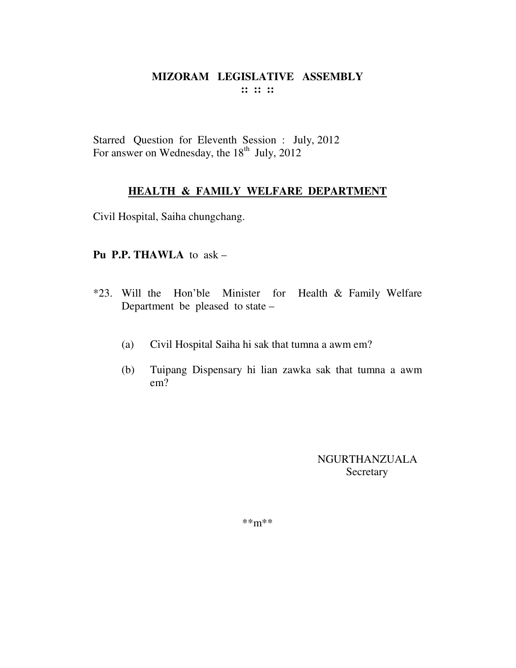Starred Question for Eleventh Session : July, 2012 For answer on Wednesday, the  $18<sup>th</sup>$  July, 2012

## **HEALTH & FAMILY WELFARE DEPARTMENT**

Civil Hospital, Saiha chungchang.

#### **Pu P.P. THAWLA** to ask –

- \*23. Will the Hon'ble Minister for Health & Family Welfare Department be pleased to state –
	- (a) Civil Hospital Saiha hi sak that tumna a awm em?
	- (b) Tuipang Dispensary hi lian zawka sak that tumna a awm em?

NGURTHANZUALA Secretary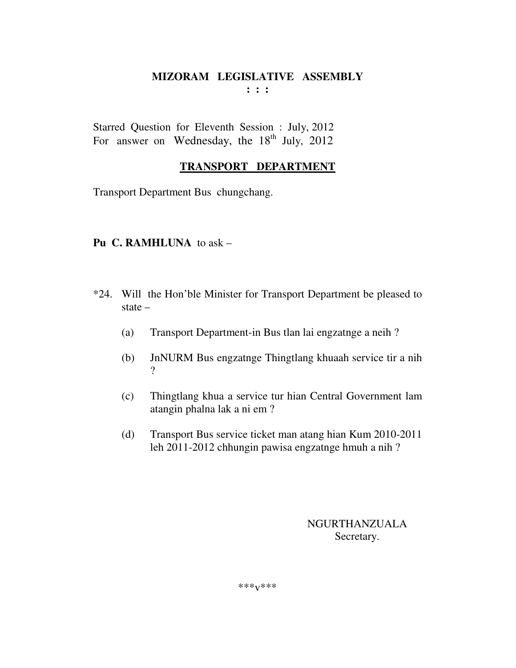Starred Question for Eleventh Session : July, 2012 For answer on Wednesday, the  $18<sup>th</sup>$  July, 2012

#### **TRANSPORT DEPARTMENT**

Transport Department Bus chungchang.

#### **Pu C. RAMHLUNA** to ask –

- \*24. Will the Hon'ble Minister for Transport Department be pleased to state –
	- (a) Transport Department-in Bus tlan lai engzatnge a neih ?
	- (b) JnNURM Bus engzatnge Thingtlang khuaah service tir a nih ?
	- (c) Thingtlang khua a service tur hian Central Government lam atangin phalna lak a ni em ?
	- (d) Transport Bus service ticket man atang hian Kum 2010-2011 leh 2011-2012 chhungin pawisa engzatnge hmuh a nih ?

NGURTHANZUALA Secretary.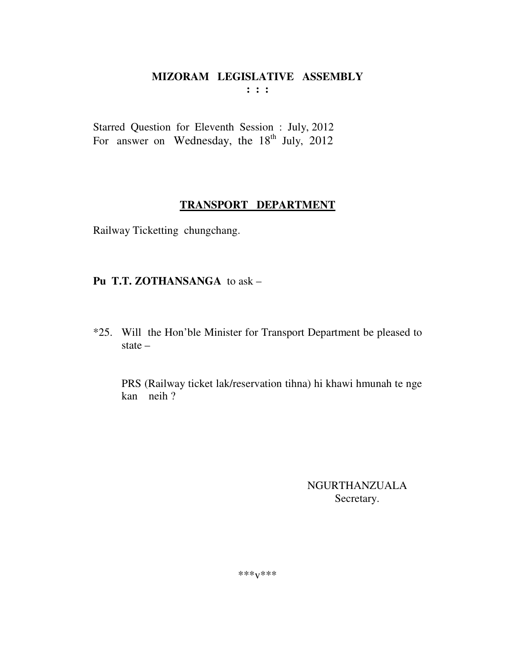Starred Question for Eleventh Session : July, 2012 For answer on Wednesday, the  $18<sup>th</sup>$  July, 2012

## **TRANSPORT DEPARTMENT**

Railway Ticketting chungchang.

## **Pu T.T. ZOTHANSANGA** to ask –

\*25. Will the Hon'ble Minister for Transport Department be pleased to state –

PRS (Railway ticket lak/reservation tihna) hi khawi hmunah te nge kan neih ?

> NGURTHANZUALA Secretary.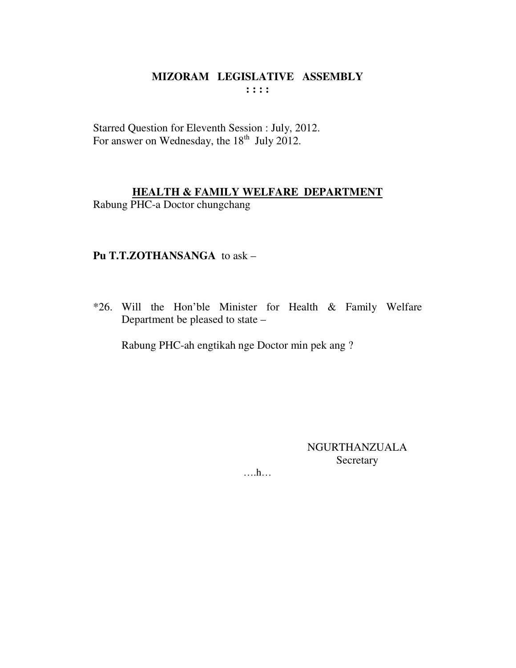Starred Question for Eleventh Session : July, 2012.<br>For answer on Wednesday, the 18<sup>th</sup> July 2012.

#### **HEALTH & FAMILY WELFARE DEPARTMENT**

Rabung PHC-a Doctor chungchang

#### Pu T.T.ZOTHANSANGA to ask -

\*26. Will the Hon'ble Minister for Health & Family Welfare Department be pleased to state –

Rabung PHC-ah engtikah nge Doctor min pek ang?

**NGURTHANZUALA** Secretary

 $\dots$ ...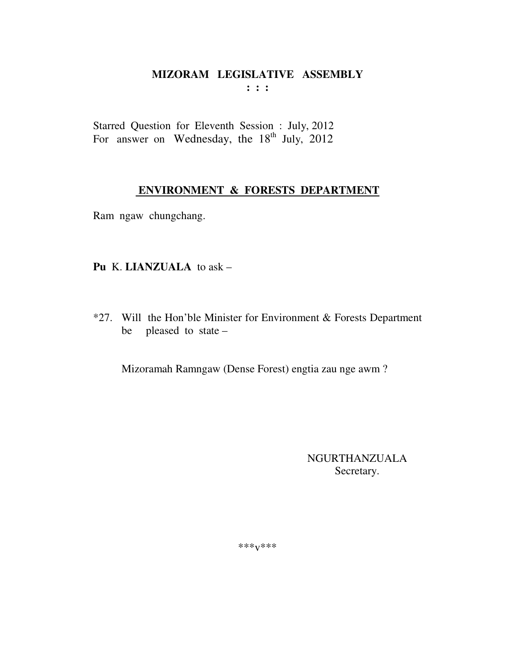# MIZORAM LEGISLATIVE ASSEMBLY

 $: : :$ 

Starred Question for Eleventh Session : July, 2012 For answer on Wednesday, the 18<sup>th</sup> July, 2012

## ENVIRONMENT & FORESTS DEPARTMENT

Ram ngaw chungchang.

#### Pu K. LIANZUALA to ask -

\*27. Will the Hon'ble Minister for Environment & Forests Department pleased to state be

Mizoramah Ramngaw (Dense Forest) engtia zau nge awm?

NGURTHANZUALA Secretary.

\*\*\* $V$ \*\*\*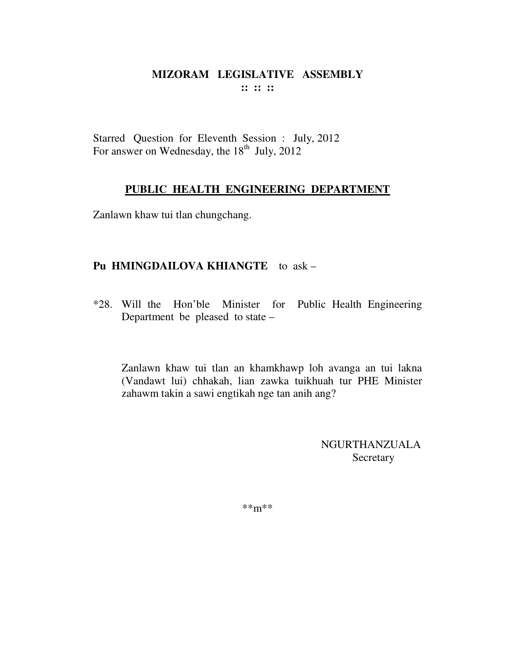Starred Question for Eleventh Session : July, 2012 For answer on Wednesday, the  $18<sup>th</sup>$  July, 2012

#### **PUBLIC HEALTH ENGINEERING DEPARTMENT**

Zanlawn khaw tui tlan chungchang.

#### **Pu HMINGDAILOVA KHIANGTE** to ask –

\*28. Will the Hon'ble Minister for Public Health Engineering Department be pleased to state –

Zanlawn khaw tui tlan an khamkhawp loh avanga an tui lakna (Vandawt lui) chhakah, lian zawka tuikhuah tur PHE Minister zahawm takin a sawi engtikah nge tan anih ang?

> NGURTHANZUALA **Secretary**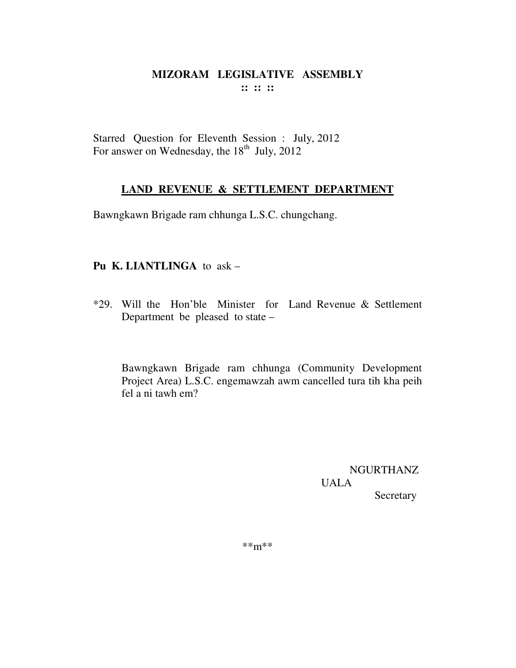Starred Question for Eleventh Session : July, 2012 For answer on Wednesday, the  $18<sup>th</sup>$  July, 2012

## **LAND REVENUE & SETTLEMENT DEPARTMENT**

Bawngkawn Brigade ram chhunga L.S.C. chungchang.

#### **Pu K. LIANTLINGA** to ask –

\*29. Will the Hon'ble Minister for Land Revenue & Settlement Department be pleased to state –

Bawngkawn Brigade ram chhunga (Community Development Project Area) L.S.C. engemawzah awm cancelled tura tih kha peih fel a ni tawh em?

> NGURTHANZ UALA Secretary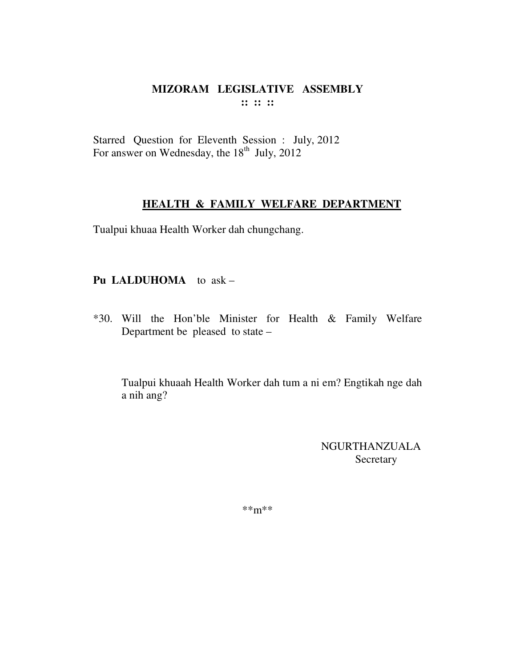Starred Question for Eleventh Session : July, 2012 For answer on Wednesday, the  $18<sup>th</sup>$  July, 2012

#### **HEALTH & FAMILY WELFARE DEPARTMENT**

Tualpui khuaa Health Worker dah chungchang.

#### **Pu LALDUHOMA** to ask –

\*30. Will the Hon'ble Minister for Health & Family Welfare Department be pleased to state –

Tualpui khuaah Health Worker dah tum a ni em? Engtikah nge dah a nih ang?

> NGURTHANZUALA Secretary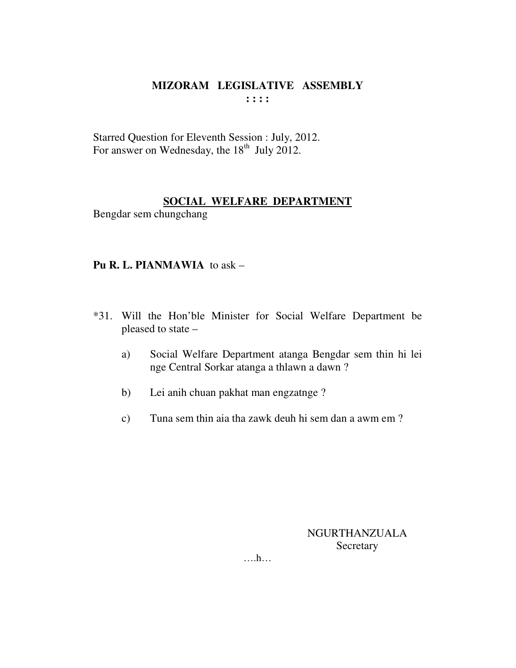Starred Question for Eleventh Session : July, 2012. For answer on Wednesday, the  $18<sup>th</sup>$  July 2012.

#### **SOCIAL WELFARE DEPARTMENT**

Bengdar sem chungchang

#### **Pu R. L. PIANMAWIA** to ask –

- \*31. Will the Hon'ble Minister for Social Welfare Department be pleased to state –
	- a) Social Welfare Department atanga Bengdar sem thin hi lei nge Central Sorkar atanga a thlawn a dawn ?
	- b) Lei anih chuan pakhat man engzatnge ?
	- c) Tuna sem thin aia tha zawk deuh hi sem dan a awm em ?

#### NGURTHANZUALA Secretary

….h…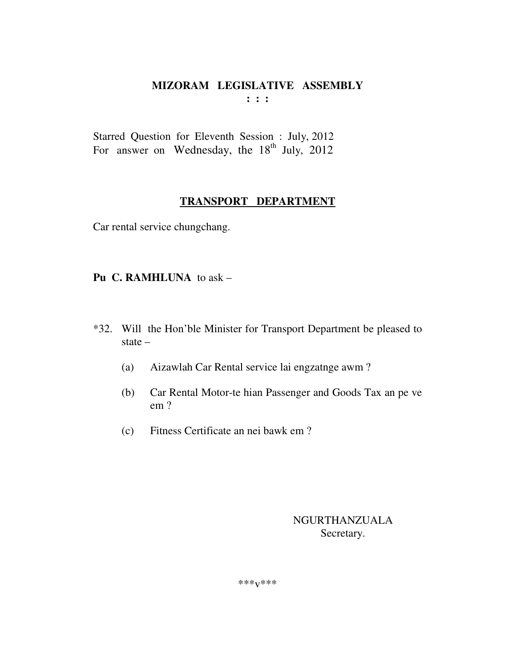#### MIZORAM LEGISLATIVE ASSEMBLY  $\mathbf{1}$   $\mathbf{1}$   $\mathbf{1}$

Starred Question for Eleventh Session : July, 2012 For answer on Wednesday, the 18<sup>th</sup> July, 2012

## TRANSPORT DEPARTMENT

Car rental service chungchang.

#### Pu C. RAMHLUNA to ask -

- \*32. Will the Hon'ble Minister for Transport Department be pleased to state  $-$ 
	- Aizawlah Car Rental service lai engzatnge awm?  $(a)$
	- Car Rental Motor-te hian Passenger and Goods Tax an pe ve  $(b)$  $em<sub>2</sub>$
	- $(c)$ Fitness Certificate an nei bawk em?

#### **NGURTHANZUALA** Secretary.

\*\*\* $V$ \*\*\*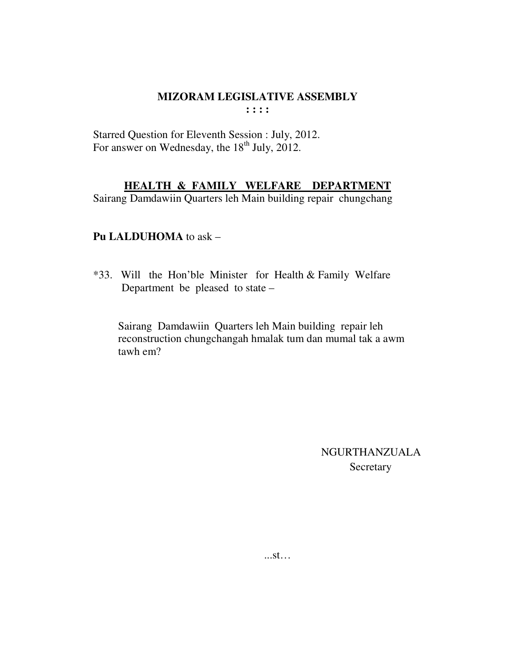Starred Question for Eleventh Session : July, 2012. For answer on Wednesday, the 18<sup>th</sup> July, 2012.

#### **HEALTH & FAMILY WELFARE DEPARTMENT**

Sairang Damdawiin Quarters leh Main building repair chungchang

#### **Pu LALDUHOMA** to ask –

\*33. Will the Hon'ble Minister for Health & Family Welfare Department be pleased to state –

Sairang Damdawiin Quarters leh Main building repair leh reconstruction chungchangah hmalak tum dan mumal tak a awm tawh em?

> NGURTHANZUALA **Secretary**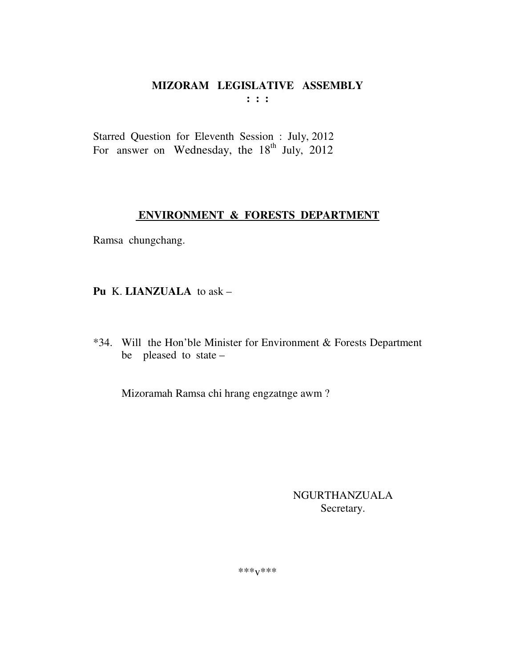Starred Question for Eleventh Session : July, 2012 For answer on Wednesday, the 18<sup>th</sup> July, 2012

## ENVIRONMENT & FORESTS DEPARTMENT

Ramsa chungchang.

Pu K. LIANZUALA to ask -

\*34. Will the Hon'ble Minister for Environment & Forests Department be pleased to state -

Mizoramah Ramsa chi hrang engzatnge awm?

**NGURTHANZUALA** Secretary.

\*\*\* $V$ \*\*\*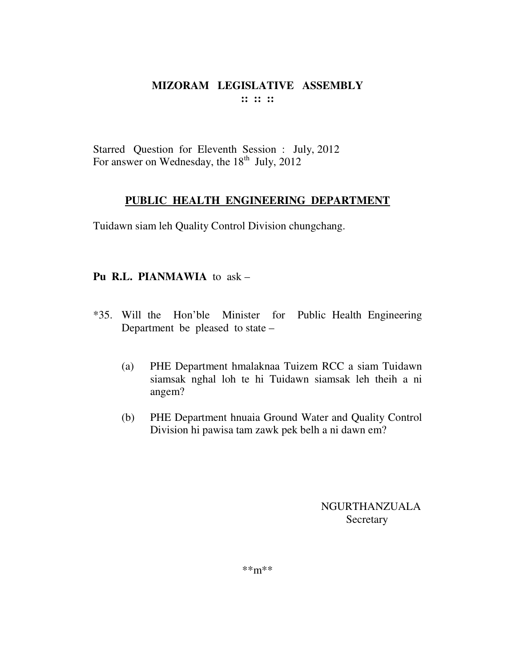Starred Question for Eleventh Session : July, 2012 For answer on Wednesday, the  $18<sup>th</sup>$  July, 2012

#### **PUBLIC HEALTH ENGINEERING DEPARTMENT**

Tuidawn siam leh Quality Control Division chungchang.

#### **Pu R.L. PIANMAWIA** to ask –

- \*35. Will the Hon'ble Minister for Public Health Engineering Department be pleased to state –
	- (a) PHE Department hmalaknaa Tuizem RCC a siam Tuidawn siamsak nghal loh te hi Tuidawn siamsak leh theih a ni angem?
	- (b) PHE Department hnuaia Ground Water and Quality Control Division hi pawisa tam zawk pek belh a ni dawn em?

NGURTHANZUALA **Secretary**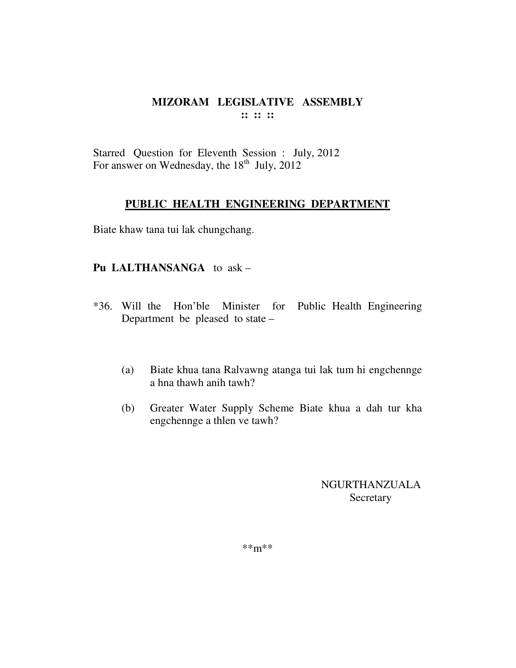Starred Question for Eleventh Session : July, 2012 For answer on Wednesday, the  $18<sup>th</sup>$  July, 2012

#### **PUBLIC HEALTH ENGINEERING DEPARTMENT**

Biate khaw tana tui lak chungchang.

#### **Pu LALTHANSANGA** to ask –

- \*36. Will the Hon'ble Minister for Public Health Engineering Department be pleased to state –
	- (a) Biate khua tana Ralvawng atanga tui lak tum hi engchennge a hna thawh anih tawh?
	- (b) Greater Water Supply Scheme Biate khua a dah tur kha engchennge a thlen ve tawh?

NGURTHANZUALA **Secretary**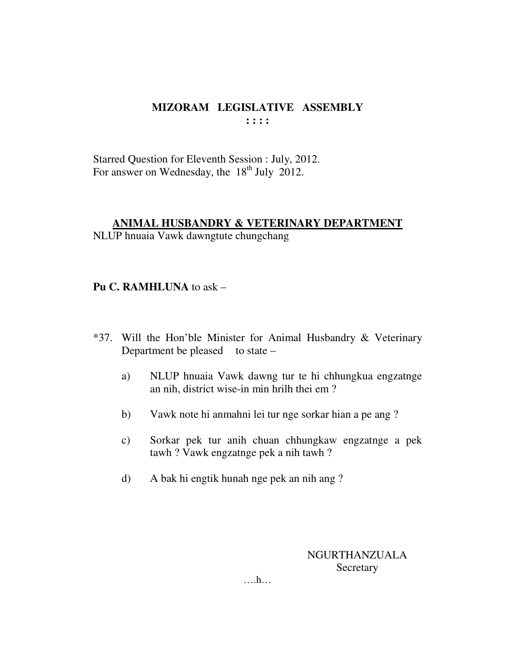Starred Question for Eleventh Session : July, 2012. For answer on Wednesday, the  $18<sup>th</sup>$  July 2012.

## **ANIMAL HUSBANDRY & VETERINARY DEPARTMENT**

NLUP hnuaia Vawk dawngtute chungchang

#### **Pu C. RAMHLUNA** to ask –

- \*37. Will the Hon'ble Minister for Animal Husbandry & Veterinary Department be pleased to state  $$ 
	- a) NLUP hnuaia Vawk dawng tur te hi chhungkua engzatnge an nih, district wise-in min hrilh thei em ?
	- b) Vawk note hi anmahni lei tur nge sorkar hian a pe ang ?
	- c) Sorkar pek tur anih chuan chhungkaw engzatnge a pek tawh ? Vawk engzatnge pek a nih tawh ?
	- d) A bak hi engtik hunah nge pek an nih ang ?

NGURTHANZUALA **Secretary** 

….h…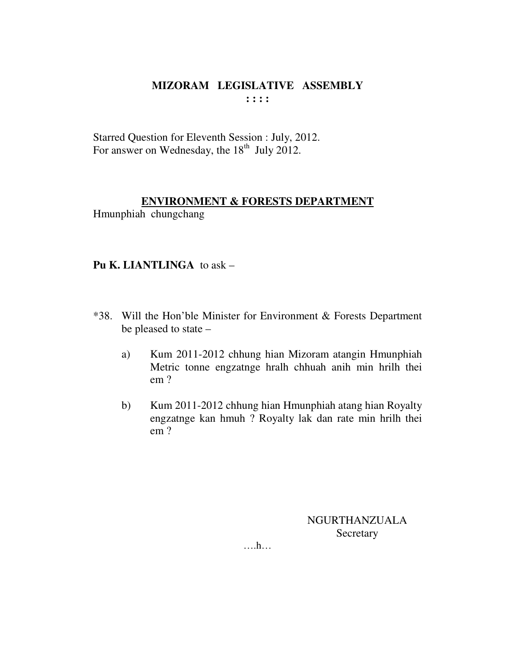Starred Question for Eleventh Session : July, 2012. For answer on Wednesday, the  $18<sup>th</sup>$  July 2012.

## **ENVIRONMENT & FORESTS DEPARTMENT**

Hmunphiah chungchang

#### **Pu K. LIANTLINGA** to ask –

- \*38. Will the Hon'ble Minister for Environment & Forests Department be pleased to state –
	- a) Kum 2011-2012 chhung hian Mizoram atangin Hmunphiah Metric tonne engzatnge hralh chhuah anih min hrilh thei em ?
	- b) Kum 2011-2012 chhung hian Hmunphiah atang hian Royalty engzatnge kan hmuh ? Royalty lak dan rate min hrilh thei em ?

NGURTHANZUALA Secretary

….h…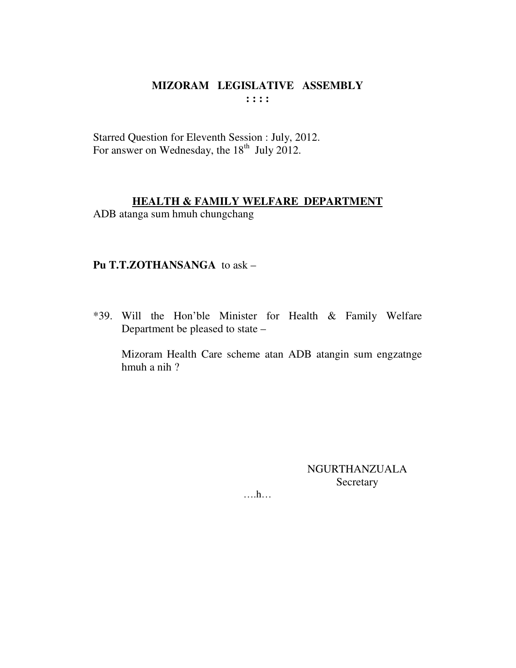#### MIZORAM LEGISLATIVE ASSEMBLY  $\mathbf{1}$ :  $\mathbf{1}$

Starred Question for Eleventh Session : July, 2012. For answer on Wednesday, the 18<sup>th</sup> July 2012.

#### **HEALTH & FAMILY WELFARE DEPARTMENT**

ADB atanga sum hmuh chungchang

#### Pu T.T.ZOTHANSANGA to ask -

\*39. Will the Hon'ble Minister for Health & Family Welfare Department be pleased to state –

Mizoram Health Care scheme atan ADB atangin sum engzatnge hmuh a nih?

> **NGURTHANZUALA** Secretary

 $\dots h\dots$